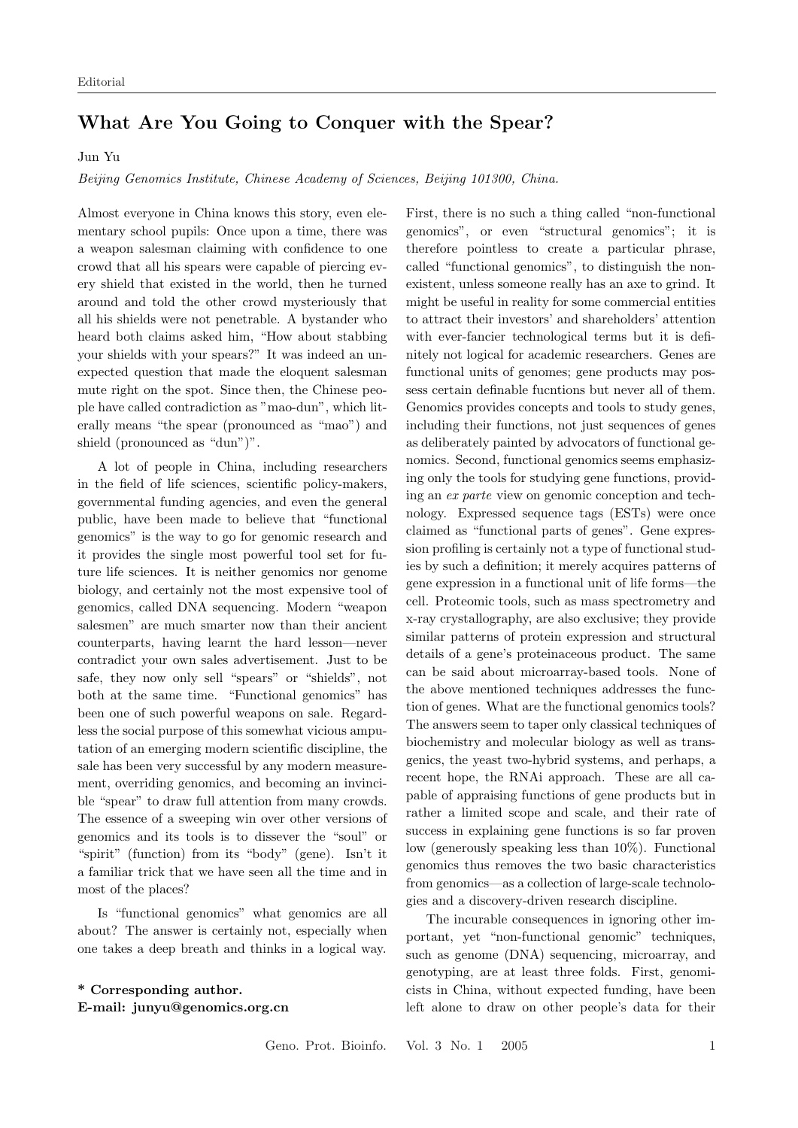## What Are You Going to Conquer with the Spear?

Jun Yu

Beijing Genomics Institute, Chinese Academy of Sciences, Beijing 101300, China.

Almost everyone in China knows this story, even elementary school pupils: Once upon a time, there was a weapon salesman claiming with confidence to one crowd that all his spears were capable of piercing every shield that existed in the world, then he turned around and told the other crowd mysteriously that all his shields were not penetrable. A bystander who heard both claims asked him, "How about stabbing your shields with your spears?" It was indeed an unexpected question that made the eloquent salesman mute right on the spot. Since then, the Chinese people have called contradiction as "mao-dun", which literally means "the spear (pronounced as "mao") and shield (pronounced as "dun")".

A lot of people in China, including researchers in the field of life sciences, scientific policy-makers, governmental funding agencies, and even the general public, have been made to believe that "functional genomics" is the way to go for genomic research and it provides the single most powerful tool set for future life sciences. It is neither genomics nor genome biology, and certainly not the most expensive tool of genomics, called DNA sequencing. Modern "weapon salesmen" are much smarter now than their ancient counterparts, having learnt the hard lesson—never contradict your own sales advertisement. Just to be safe, they now only sell "spears" or "shields", not both at the same time. "Functional genomics" has been one of such powerful weapons on sale. Regardless the social purpose of this somewhat vicious amputation of an emerging modern scientific discipline, the sale has been very successful by any modern measurement, overriding genomics, and becoming an invincible "spear" to draw full attention from many crowds. The essence of a sweeping win over other versions of genomics and its tools is to dissever the "soul" or "spirit" (function) from its "body" (gene). Isn't it a familiar trick that we have seen all the time and in most of the places?

Is "functional genomics" what genomics are all about? The answer is certainly not, especially when one takes a deep breath and thinks in a logical way.

## \* Corresponding author. E-mail: junyu@genomics.org.cn

First, there is no such a thing called "non-functional genomics", or even "structural genomics"; it is therefore pointless to create a particular phrase, called "functional genomics", to distinguish the nonexistent, unless someone really has an axe to grind. It might be useful in reality for some commercial entities to attract their investors' and shareholders' attention with ever-fancier technological terms but it is definitely not logical for academic researchers. Genes are functional units of genomes; gene products may possess certain definable fucntions but never all of them. Genomics provides concepts and tools to study genes, including their functions, not just sequences of genes as deliberately painted by advocators of functional genomics. Second, functional genomics seems emphasizing only the tools for studying gene functions, providing an ex parte view on genomic conception and technology. Expressed sequence tags (ESTs) were once claimed as "functional parts of genes". Gene expression profiling is certainly not a type of functional studies by such a definition; it merely acquires patterns of gene expression in a functional unit of life forms—the cell. Proteomic tools, such as mass spectrometry and x-ray crystallography, are also exclusive; they provide similar patterns of protein expression and structural details of a gene's proteinaceous product. The same can be said about microarray-based tools. None of the above mentioned techniques addresses the function of genes. What are the functional genomics tools? The answers seem to taper only classical techniques of biochemistry and molecular biology as well as transgenics, the yeast two-hybrid systems, and perhaps, a recent hope, the RNAi approach. These are all capable of appraising functions of gene products but in rather a limited scope and scale, and their rate of success in explaining gene functions is so far proven low (generously speaking less than 10%). Functional genomics thus removes the two basic characteristics from genomics—as a collection of large-scale technologies and a discovery-driven research discipline.

The incurable consequences in ignoring other important, yet "non-functional genomic" techniques, such as genome (DNA) sequencing, microarray, and genotyping, are at least three folds. First, genomicists in China, without expected funding, have been left alone to draw on other people's data for their